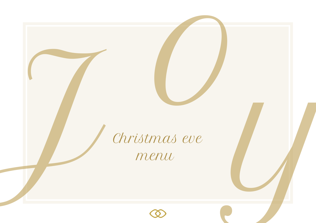Christmas eve menu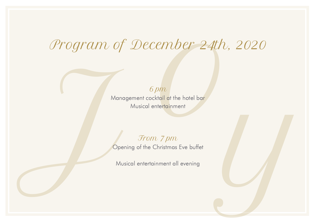# mber 24th, Program of December 24th, 2020

 $6 \, \text{pm}$ 

Management cocktail at the hotel bar Musical entertainment

of pm<br>
Management cocktail of the hotel bar<br>
Musical entertrainment<br>
Trom. 7 pm<br>
Opening of the Christmas Eve buffet<br>
Musical entertainment all evening<br>
Christmas Eve buffet<br>
Musical entertainment all evening From 7 pm Opening of the Christmas Eve buffet

Musical entertainment all evening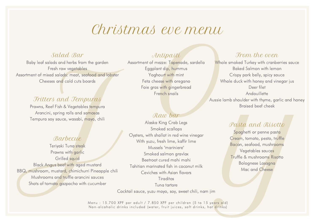# Christmas eve menu

## Salad Bar

Baby leaf salads and herbs from the garden Fresh raw vegetables Assortment of mixed salads: meat, seafood and lobster Cheeses and cold cuts boards

## Fritters and Tempuras

Prawns, Reef Fish & Vegetables tempura Arancini, spring rolls and samosas Tempura soy sauce, wasabi, mayo, chili

## **Barbecue**

Teriyaki Tuna steak Prawns with garlic Grilled squid Black Angus beef with aged mustard BBQ, mushroom, mustard, chimichurri Pineapple chili Mushrooms and truffle arancini sauces Shots of tomato gazpacho with cucumber

# Antipasti

ever members<br>
Electron Control of the Surface Server of the Surface Server of the Surface of the Surface of the Surface of the Surface of the Surface of the Surface of the Surface of the Surface of the Surface of the Surfa Assortment of mezze: Tapenade, sardella Eggplant dip, hummus Yoghourt with mint Feta cheese with oregano Foie gras with gingerbread French snails

## Raw bar

Example and the state of the control is a selected and behavior the control is a selected and behavior of the control in the state of the state of the state of the state of the state of the state of the state of the state Alaska King Crab Legs Smoked scallops Oysters, with shallot in red wine vinegar With yuzu, fresh lime, kaffir lime Mussels "mariniere" Smoked salmon gravlax Beetroot cured mahi mahi Tahitian marinated fish in coconut milk Ceviches with Asian flavors **Tiraditos** Tuna tartare

Cocktail sauce, yuzu mayo, soy, sweet chili, nam jim

Menu: 15.700 XPF per adult / 7.850 XPF per children (5 to 15 years old) Non-alcoholic drinks included (water, fruit juices, soft drinks, hot drinks)

## From the oven

Whole smoked Turkey with cranberries sauce Baked Salmon with lemon Crispy pork belly, spicy sauce Whole duck with honey and vinegar jus Deer filet **Andouillette** Aussie lamb shoulder with thyme, garlic and honey Braised beef cheek

# Pasta and Risotto

Spaghetti or penne pasta Cream, tomato, pesto, truffle Bacon, seafood, mushrooms Vegetables sauces Truffle & mushrooms Risotto Bolognese Lasagna Mac and Cheese